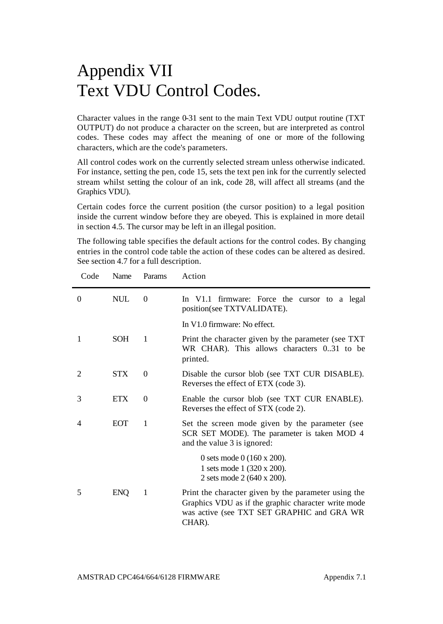## Appendix VII Text VDU Control Codes.

Character values in the range 0-31 sent to the main Text VDU output routine (TXT OUTPUT) do not produce a character on the screen, but are interpreted as control codes. These codes may affect the meaning of one or more of the following characters, which are the code's parameters.

All control codes work on the currently selected stream unless otherwise indicated. For instance, setting the pen, code 15, sets the text pen ink for the currently selected stream whilst setting the colour of an ink, code 28, will affect all streams (and the Graphics VDU).

Certain codes force the current position (the cursor position) to a legal position inside the current window before they are obeyed. This is explained in more detail in section 4.5. The cursor may be left in an illegal position.

The following table specifies the default actions for the control codes. By changing entries in the control code table the action of these codes can be altered as desired. See section 4.7 for a full description.

| Code     | Name       | Params   | Action                                                                                                                                                              |
|----------|------------|----------|---------------------------------------------------------------------------------------------------------------------------------------------------------------------|
| $\theta$ | <b>NUL</b> | $\Omega$ | In V1.1 firmware: Force the cursor to a legal<br>position(see TXTVALIDATE).                                                                                         |
|          |            |          | In V1.0 firmware: No effect.                                                                                                                                        |
| 1        | <b>SOH</b> | 1        | Print the character given by the parameter (see TXT)<br>WR CHAR). This allows characters 031 to be<br>printed.                                                      |
| 2        | <b>STX</b> | $\Omega$ | Disable the cursor blob (see TXT CUR DISABLE).<br>Reverses the effect of ETX (code 3).                                                                              |
| 3        | <b>ETX</b> | $\Omega$ | Enable the cursor blob (see TXT CUR ENABLE).<br>Reverses the effect of STX (code 2).                                                                                |
| 4        | <b>EOT</b> | 1        | Set the screen mode given by the parameter (see<br>SCR SET MODE). The parameter is taken MOD 4<br>and the value 3 is ignored:                                       |
|          |            |          | 0 sets mode 0 $(160 \times 200)$ .<br>1 sets mode 1 (320 x 200).<br>2 sets mode 2 (640 x 200).                                                                      |
| 5        | <b>ENO</b> | 1        | Print the character given by the parameter using the<br>Graphics VDU as if the graphic character write mode<br>was active (see TXT SET GRAPHIC and GRA WR<br>CHAR). |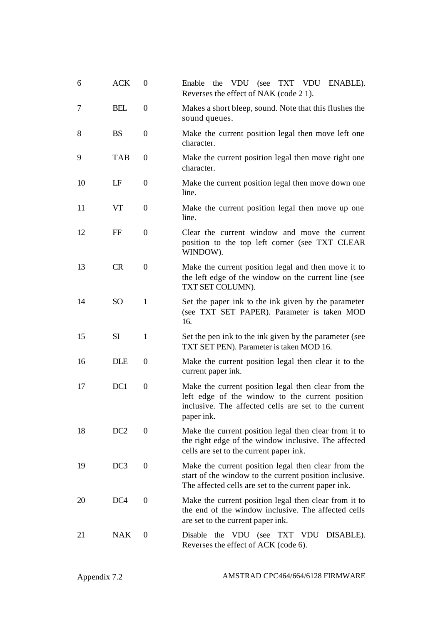| 6  | <b>ACK</b>      | $\boldsymbol{0}$ | the VDU (see TXT VDU<br>Enable<br>ENABLE).<br>Reverses the effect of NAK (code 21).                                                                                          |
|----|-----------------|------------------|------------------------------------------------------------------------------------------------------------------------------------------------------------------------------|
| 7  | BEL             | 0                | Makes a short bleep, sound. Note that this flushes the<br>sound queues.                                                                                                      |
| 8  | <b>BS</b>       | 0                | Make the current position legal then move left one<br>character.                                                                                                             |
| 9  | TAB             | 0                | Make the current position legal then move right one<br>character.                                                                                                            |
| 10 | LF              | 0                | Make the current position legal then move down one<br>line.                                                                                                                  |
| 11 | VT              | 0                | Make the current position legal then move up one<br>line.                                                                                                                    |
| 12 | FF              | $\theta$         | Clear the current window and move the current<br>position to the top left corner (see TXT CLEAR<br>WINDOW).                                                                  |
| 13 | <b>CR</b>       | $\theta$         | Make the current position legal and then move it to<br>the left edge of the window on the current line (see<br>TXT SET COLUMN).                                              |
| 14 | <sub>SO</sub>   | 1                | Set the paper ink to the ink given by the parameter<br>(see TXT SET PAPER). Parameter is taken MOD<br>16.                                                                    |
| 15 | <b>SI</b>       | $\mathbf{1}$     | Set the pen ink to the ink given by the parameter (see<br>TXT SET PEN). Parameter is taken MOD 16.                                                                           |
| 16 | <b>DLE</b>      | 0                | Make the current position legal then clear it to the<br>current paper ink.                                                                                                   |
| 17 | DC1             | $\theta$         | Make the current position legal then clear from the<br>left edge of the window to the current position<br>inclusive. The affected cells are set to the current<br>paper ink. |
| 18 | DC <sub>2</sub> | $\theta$         | Make the current position legal then clear from it to<br>the right edge of the window inclusive. The affected<br>cells are set to the current paper ink.                     |
| 19 | DC3             | $\theta$         | Make the current position legal then clear from the<br>start of the window to the current position inclusive.<br>The affected cells are set to the current paper ink.        |
| 20 | DC <sub>4</sub> | $\overline{0}$   | Make the current position legal then clear from it to<br>the end of the window inclusive. The affected cells<br>are set to the current paper ink.                            |
| 21 | <b>NAK</b>      | 0                | the VDU (see TXT VDU<br>Disable<br>DISABLE).<br>Reverses the effect of ACK (code 6).                                                                                         |